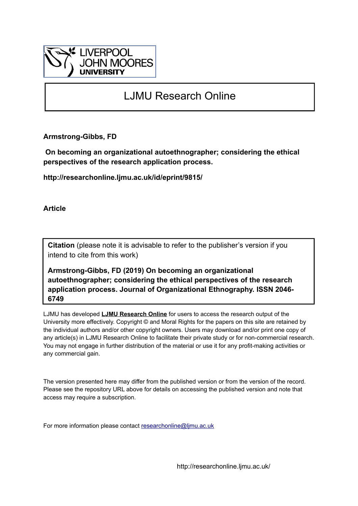

# LJMU Research Online

**Armstrong-Gibbs, FD**

 **On becoming an organizational autoethnographer; considering the ethical perspectives of the research application process.**

**http://researchonline.ljmu.ac.uk/id/eprint/9815/**

**Article**

**Citation** (please note it is advisable to refer to the publisher's version if you intend to cite from this work)

**Armstrong-Gibbs, FD (2019) On becoming an organizational autoethnographer; considering the ethical perspectives of the research application process. Journal of Organizational Ethnography. ISSN 2046- 6749** 

LJMU has developed **[LJMU Research Online](http://researchonline.ljmu.ac.uk/)** for users to access the research output of the University more effectively. Copyright © and Moral Rights for the papers on this site are retained by the individual authors and/or other copyright owners. Users may download and/or print one copy of any article(s) in LJMU Research Online to facilitate their private study or for non-commercial research. You may not engage in further distribution of the material or use it for any profit-making activities or any commercial gain.

The version presented here may differ from the published version or from the version of the record. Please see the repository URL above for details on accessing the published version and note that access may require a subscription.

For more information please contact [researchonline@ljmu.ac.uk](mailto:researchonline@ljmu.ac.uk)

http://researchonline.ljmu.ac.uk/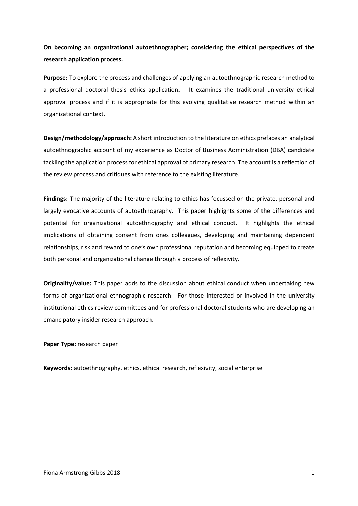**On becoming an organizational autoethnographer; considering the ethical perspectives of the research application process.**

**Purpose:** To explore the process and challenges of applying an autoethnographic research method to a professional doctoral thesis ethics application. It examines the traditional university ethical approval process and if it is appropriate for this evolving qualitative research method within an organizational context.

**Design/methodology/approach:** A short introduction to the literature on ethics prefaces an analytical autoethnographic account of my experience as Doctor of Business Administration (DBA) candidate tackling the application process for ethical approval of primary research. The account is a reflection of the review process and critiques with reference to the existing literature.

**Findings:** The majority of the literature relating to ethics has focussed on the private, personal and largely evocative accounts of autoethnography.This paper highlights some of the differences and potential for organizational autoethnography and ethical conduct. It highlights the ethical implications of obtaining consent from ones colleagues, developing and maintaining dependent relationships, risk and reward to one's own professional reputation and becoming equipped to create both personal and organizational change through a process of reflexivity.

**Originality/value:** This paper adds to the discussion about ethical conduct when undertaking new forms of organizational ethnographic research. For those interested or involved in the university institutional ethics review committees and for professional doctoral students who are developing an emancipatory insider research approach.

**Paper Type:** research paper

**Keywords:** autoethnography, ethics, ethical research, reflexivity, social enterprise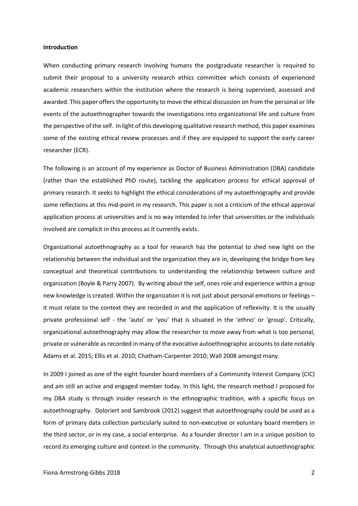## **Introduction**

When conducting primary research involving humans the postgraduate researcher is required to submit their proposal to a university research ethics committee which consists of experienced academic researchers within the institution where the research is being supervised, assessed and awarded. This paper offers the opportunity to move the ethical discussion on from the personal or life events of the autoethnographer towards the investigations into organizational life and culture from the perspective of the self. In light of this developing qualitative research method, this paper examines some of the existing ethical review processes and if they are equipped to support the early career researcher (ECR).

The following is an account of my experience as Doctor of Business Administration (DBA) candidate (rather than the established PhD route), tackling the application process for ethical approval of primary research. It seeks to highlight the ethical considerations of my autoethnography and provide some reflections at this mid-point in my research. This paper is not a criticism of the ethical approval application process at universities and is no way intended to infer that universities or the individuals involved are complicit in this process as it currently exists.

Organizational autoethnography as a tool for research has the potential to shed new light on the relationship between the individual and the organization they are in, developing the bridge from key conceptual and theoretical contributions to understanding the relationship between culture and organization (Boyle & Parry 2007). By writing about the self, ones role and experience within a group new knowledge is created. Within the organization it is not just about personal emotions or feelings – it must relate to the context they are recorded in and the application of reflexivity. It is the usually private professional self - the 'auto' or 'you' that is situated in the 'ethno' or 'group'. Critically, organizational autoethnography may allow the researcher to move away from what is too personal, private or vulnerable as recorded in many of the evocative autoethnographic accounts to date notably Adams et al. 2015; Ellis et al. 2010; Chatham-Carpenter 2010; Wall 2008 amongst many.

In 2009 I joined as one of the eight founder board members of a Community Interest Company (CIC) and am still an active and engaged member today. In this light, the research method I proposed for my DBA study is through insider research in the ethnographic tradition, with a specific focus on autoethnography. Doloriert and Sambrook (2012) suggest that autoethnography could be used as a form of primary data collection particularly suited to non-executive or voluntary board members in the third sector, or in my case, a social enterprise. As a founder director I am in a unique position to record its emerging culture and context in the community. Through this analytical autoethnographic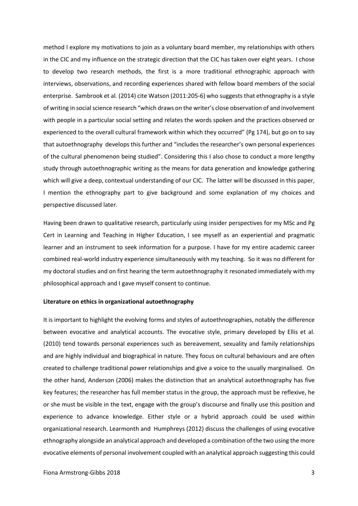method I explore my motivations to join as a voluntary board member, my relationships with others in the CIC and my influence on the strategic direction that the CIC has taken over eight years. I chose to develop two research methods, the first is a more traditional ethnographic approach with interviews, observations, and recording experiences shared with fellow board members of the social enterprise. Sambrook et al. (2014) cite Watson (2011:205-6) who suggests that ethnography is a style of writing in social science research "which draws on the writer's close observation of and involvement with people in a particular social setting and relates the words spoken and the practices observed or experienced to the overall cultural framework within which they occurred" (Pg 174), but go on to say that autoethnography develops this further and "includes the researcher's own personal experiences of the cultural phenomenon being studied". Considering this I also chose to conduct a more lengthy study through autoethnographic writing as the means for data generation and knowledge gathering which will give a deep, contextual understanding of our CIC. The latter will be discussed in this paper, I mention the ethnography part to give background and some explanation of my choices and perspective discussed later.

Having been drawn to qualitative research, particularly using insider perspectives for my MSc and Pg Cert in Learning and Teaching in Higher Education, I see myself as an experiential and pragmatic learner and an instrument to seek information for a purpose. I have for my entire academic career combined real-world industry experience simultaneously with my teaching. So it was no different for my doctoral studies and on first hearing the term autoethnography it resonated immediately with my philosophical approach and I gave myself consent to continue.

# **Literature on ethics in organizational autoethnography**

It is important to highlight the evolving forms and styles of autoethnographies, notably the difference between evocative and analytical accounts. The evocative style, primary developed by Ellis et al. (2010) tend towards personal experiences such as bereavement, sexuality and family relationships and are highly individual and biographical in nature. They focus on cultural behaviours and are often created to challenge traditional power relationships and give a voice to the usually marginalised. On the other hand, Anderson (2006) makes the distinction that an analytical autoethnography has five key features; the researcher has full member status in the group, the approach must be reflexive, he or she must be visible in the text, engage with the group's discourse and finally use this position and experience to advance knowledge. Either style or a hybrid approach could be used within organizational research. Learmonth and Humphreys (2012) discuss the challenges of using evocative ethnography alongside an analytical approach and developed a combination of the two using the more evocative elements of personal involvement coupled with an analytical approach suggesting this could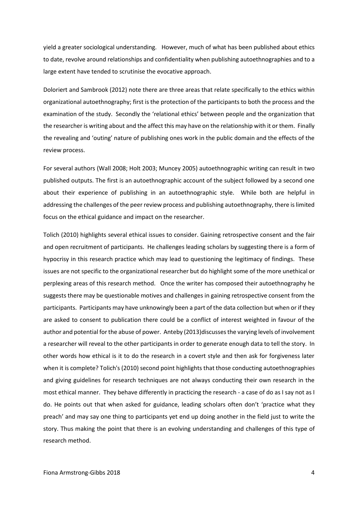yield a greater sociological understanding. However, much of what has been published about ethics to date, revolve around relationships and confidentiality when publishing autoethnographies and to a large extent have tended to scrutinise the evocative approach.

Doloriert and Sambrook (2012) note there are three areas that relate specifically to the ethics within organizational autoethnography; first is the protection of the participants to both the process and the examination of the study. Secondly the 'relational ethics' between people and the organization that the researcher is writing about and the affect this may have on the relationship with it or them. Finally the revealing and 'outing' nature of publishing ones work in the public domain and the effects of the review process.

For several authors (Wall 2008; Holt 2003; Muncey 2005) autoethnographic writing can result in two published outputs. The first is an autoethnographic account of the subject followed by a second one about their experience of publishing in an autoethnographic style. While both are helpful in addressing the challenges of the peer review process and publishing autoethnography, there is limited focus on the ethical guidance and impact on the researcher.

Tolich (2010) highlights several ethical issues to consider. Gaining retrospective consent and the fair and open recruitment of participants. He challenges leading scholars by suggesting there is a form of hypocrisy in this research practice which may lead to questioning the legitimacy of findings. These issues are not specific to the organizational researcher but do highlight some of the more unethical or perplexing areas of this research method. Once the writer has composed their autoethnography he suggests there may be questionable motives and challenges in gaining retrospective consent from the participants. Participants may have unknowingly been a part of the data collection but when or if they are asked to consent to publication there could be a conflict of interest weighted in favour of the author and potential for the abuse of power. Anteby (2013)discusses the varying levels of involvement a researcher will reveal to the other participants in order to generate enough data to tell the story. In other words how ethical is it to do the research in a covert style and then ask for forgiveness later when it is complete? Tolich's (2010) second point highlights that those conducting autoethnographies and giving guidelines for research techniques are not always conducting their own research in the most ethical manner. They behave differently in practicing the research - a case of do as I say not as I do. He points out that when asked for guidance, leading scholars often don't 'practice what they preach' and may say one thing to participants yet end up doing another in the field just to write the story. Thus making the point that there is an evolving understanding and challenges of this type of research method.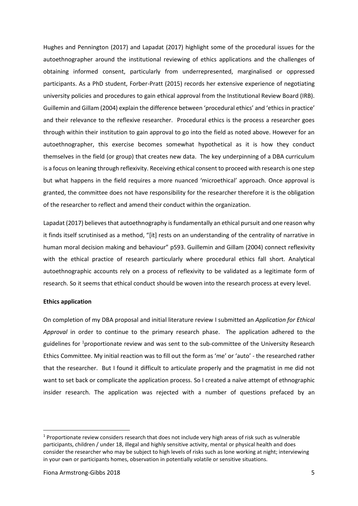Hughes and Pennington (2017) and Lapadat (2017) highlight some of the procedural issues for the autoethnographer around the institutional reviewing of ethics applications and the challenges of obtaining informed consent, particularly from underrepresented, marginalised or oppressed participants. As a PhD student, Forber-Pratt (2015) records her extensive experience of negotiating university policies and procedures to gain ethical approval from the Institutional Review Board (IRB). Guillemin and Gillam (2004) explain the difference between 'procedural ethics' and 'ethics in practice' and their relevance to the reflexive researcher. Procedural ethics is the process a researcher goes through within their institution to gain approval to go into the field as noted above. However for an autoethnographer, this exercise becomes somewhat hypothetical as it is how they conduct themselves in the field (or group) that creates new data. The key underpinning of a DBA curriculum is a focus on leaning through reflexivity. Receiving ethical consent to proceed with research is one step but what happens in the field requires a more nuanced 'microethical' approach. Once approval is granted, the committee does not have responsibility for the researcher therefore it is the obligation of the researcher to reflect and amend their conduct within the organization.

Lapadat (2017) believes that autoethnography is fundamentally an ethical pursuit and one reason why it finds itself scrutinised as a method, "[it] rests on an understanding of the centrality of narrative in human moral decision making and behaviour" p593. Guillemin and Gillam (2004) connect reflexivity with the ethical practice of research particularly where procedural ethics fall short. Analytical autoethnographic accounts rely on a process of reflexivity to be validated as a legitimate form of research. So it seems that ethical conduct should be woven into the research process at every level.

# **Ethics application**

On completion of my DBA proposal and initial literature review I submitted an *Application for Ethical Approval* in order to continue to the primary research phase. The application adhered to the guidelines for <sup>1</sup>proportionate review and was sent to the sub-committee of the University Research Ethics Committee. My initial reaction was to fill out the form as 'me' or 'auto' - the researched rather that the researcher. But I found it difficult to articulate properly and the pragmatist in me did not want to set back or complicate the application process. So I created a naïve attempt of ethnographic insider research. The application was rejected with a number of questions prefaced by an

 $\overline{a}$ 

 $1$  Proportionate review considers research that does not include very high areas of risk such as vulnerable participants, children / under 18, illegal and highly sensitive activity, mental or physical health and does consider the researcher who may be subject to high levels of risks such as lone working at night; interviewing in your own or participants homes, observation in potentially volatile or sensitive situations.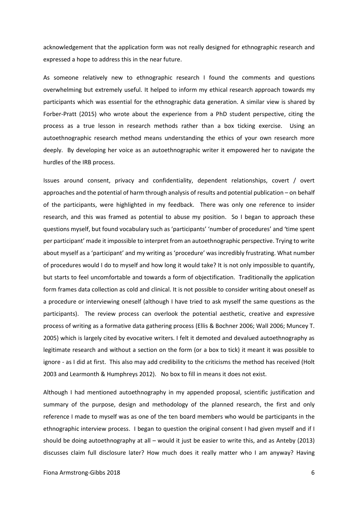acknowledgement that the application form was not really designed for ethnographic research and expressed a hope to address this in the near future.

As someone relatively new to ethnographic research I found the comments and questions overwhelming but extremely useful. It helped to inform my ethical research approach towards my participants which was essential for the ethnographic data generation. A similar view is shared by Forber-Pratt (2015) who wrote about the experience from a PhD student perspective, citing the process as a true lesson in research methods rather than a box ticking exercise. Using an autoethnographic research method means understanding the ethics of your own research more deeply. By developing her voice as an autoethnographic writer it empowered her to navigate the hurdles of the IRB process.

Issues around consent, privacy and confidentiality, dependent relationships, covert / overt approaches and the potential of harm through analysis of results and potential publication – on behalf of the participants, were highlighted in my feedback. There was only one reference to insider research, and this was framed as potential to abuse my position. So I began to approach these questions myself, but found vocabulary such as 'participants' 'number of procedures' and 'time spent per participant' made it impossible to interpret from an autoethnographic perspective. Trying to write about myself as a 'participant' and my writing as 'procedure' was incredibly frustrating. What number of procedures would I do to myself and how long it would take? It is not only impossible to quantify, but starts to feel uncomfortable and towards a form of objectification. Traditionally the application form frames data collection as cold and clinical. It is not possible to consider writing about oneself as a procedure or interviewing oneself (although I have tried to ask myself the same questions as the participants). The review process can overlook the potential aesthetic, creative and expressive process of writing as a formative data gathering process (Ellis & Bochner 2006; Wall 2006; Muncey T. 2005) which is largely cited by evocative writers. I felt it demoted and devalued autoethnography as legitimate research and without a section on the form (or a box to tick) it meant it was possible to ignore - as I did at first. This also may add credibility to the criticisms the method has received (Holt 2003 and Learmonth & Humphreys 2012). No box to fill in means it does not exist.

Although I had mentioned autoethnography in my appended proposal, scientific justification and summary of the purpose, design and methodology of the planned research, the first and only reference I made to myself was as one of the ten board members who would be participants in the ethnographic interview process. I began to question the original consent I had given myself and if I should be doing autoethnography at all – would it just be easier to write this, and as Anteby (2013) discusses claim full disclosure later? How much does it really matter who I am anyway? Having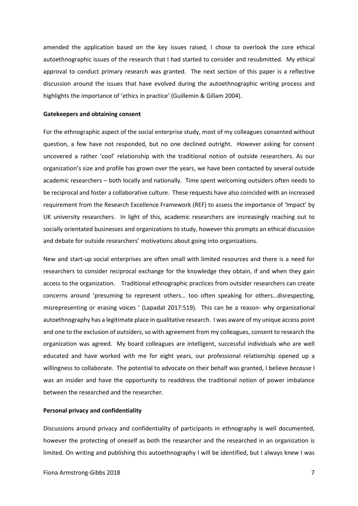amended the application based on the key issues raised, I chose to overlook the core ethical autoethnographic issues of the research that I had started to consider and resubmitted. My ethical approval to conduct primary research was granted. The next section of this paper is a reflective discussion around the issues that have evolved during the autoethnographic writing process and highlights the importance of 'ethics in practice' (Guillemin & Gillam 2004).

# **Gatekeepers and obtaining consent**

For the ethnographic aspect of the social enterprise study, most of my colleagues consented without question, a few have not responded, but no one declined outright. However asking for consent uncovered a rather 'cool' relationship with the traditional notion of outside researchers. As our organization's size and profile has grown over the years, we have been contacted by several outside academic researchers – both locally and nationally. Time spent welcoming outsiders often needs to be reciprocal and foster a collaborative culture. These requests have also coincided with an increased requirement from the Research Excellence Framework (REF) to assess the importance of 'Impact' by UK university researchers. In light of this, academic researchers are increasingly reaching out to socially orientated businesses and organizations to study, however this prompts an ethical discussion and debate for outside researchers' motivations about going into organizations.

New and start-up social enterprises are often small with limited resources and there is a need for researchers to consider reciprocal exchange for the knowledge they obtain, if and when they gain access to the organization. Traditional ethnographic practices from outsider researchers can create concerns around 'presuming to represent others… too often speaking for others…disrespecting, misrepresenting or erasing voices ' (Lapadat 2017:519). This can be a reason- why organizational autoethnography has a legitimate place in qualitative research. I was aware of my unique access point and one to the exclusion of outsiders, so with agreement from my colleagues, consent to research the organization was agreed. My board colleagues are intelligent, successful individuals who are well educated and have worked with me for eight years, our professional relationship opened up a willingness to collaborate. The potential to advocate on their behalf was granted, I believe *because* I was an insider and have the opportunity to readdress the traditional notion of power imbalance between the researched and the researcher.

# **Personal privacy and confidentiality**

Discussions around privacy and confidentiality of participants in ethnography is well documented, however the protecting of oneself as both the researcher and the researched in an organization is limited. On writing and publishing this autoethnography I will be identified, but I always knew I was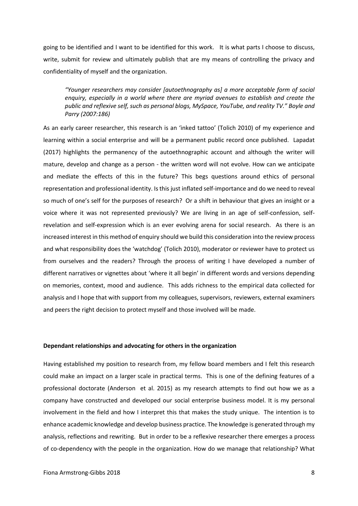going to be identified and I want to be identified for this work. It is what parts I choose to discuss, write, submit for review and ultimately publish that are my means of controlling the privacy and confidentiality of myself and the organization.

*"Younger researchers may consider [autoethnography as] a more acceptable form of social enquiry, especially in a world where there are myriad avenues to establish and create the public and reflexive self, such as personal blogs, MySpace, YouTube, and reality TV." Boyle and Parry (2007:186)* 

As an early career researcher, this research is an 'inked tattoo' (Tolich 2010) of my experience and learning within a social enterprise and will be a permanent public record once published. Lapadat (2017) highlights the permanency of the autoethnographic account and although the writer will mature, develop and change as a person - the written word will not evolve. How can we anticipate and mediate the effects of this in the future? This begs questions around ethics of personal representation and professional identity. Is this just inflated self-importance and do we need to reveal so much of one's self for the purposes of research? Or a shift in behaviour that gives an insight or a voice where it was not represented previously? We are living in an age of self-confession, selfrevelation and self-expression which is an ever evolving arena for social research. As there is an increased interest in this method of enquiry should we build this consideration into the review process and what responsibility does the 'watchdog' (Tolich 2010), moderator or reviewer have to protect us from ourselves and the readers? Through the process of writing I have developed a number of different narratives or vignettes about 'where it all begin' in different words and versions depending on memories, context, mood and audience. This adds richness to the empirical data collected for analysis and I hope that with support from my colleagues, supervisors, reviewers, external examiners and peers the right decision to protect myself and those involved will be made.

#### **Dependant relationships and advocating for others in the organization**

Having established my position to research from, my fellow board members and I felt this research could make an impact on a larger scale in practical terms. This is one of the defining features of a professional doctorate (Anderson et al. 2015) as my research attempts to find out how we as a company have constructed and developed our social enterprise business model. It is my personal involvement in the field and how I interpret this that makes the study unique. The intention is to enhance academic knowledge and develop business practice. The knowledge is generated through my analysis, reflections and rewriting. But in order to be a reflexive researcher there emerges a process of co-dependency with the people in the organization. How do we manage that relationship? What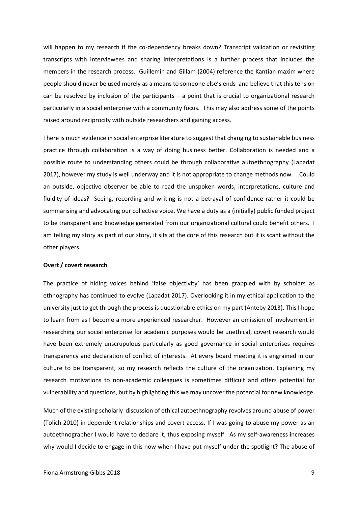will happen to my research if the co-dependency breaks down? Transcript validation or revisiting transcripts with interviewees and sharing interpretations is a further process that includes the members in the research process. Guillemin and Gillam (2004) reference the Kantian maxim where people should never be used merely as a means to someone else's ends and believe that this tension can be resolved by inclusion of the participants – a point that is crucial to organizational research particularly in a social enterprise with a community focus. This may also address some of the points raised around reciprocity with outside researchers and gaining access.

There is much evidence in social enterprise literature to suggest that changing to sustainable business practice through collaboration is a way of doing business better. Collaboration is needed and a possible route to understanding others could be through collaborative autoethnography (Lapadat 2017), however my study is well underway and it is not appropriate to change methods now. Could an outside, objective observer be able to read the unspoken words, interpretations, culture and fluidity of ideas? Seeing, recording and writing is not a betrayal of confidence rather it could be summarising and advocating our collective voice. We have a duty as a (initially) public funded project to be transparent and knowledge generated from our organizational cultural could benefit others. I am telling my story as part of our story, it sits at the core of this research but it is scant without the other players.

# **Overt / covert research**

The practice of hiding voices behind 'false objectivity' has been grappled with by scholars as ethnography has continued to evolve (Lapadat 2017). Overlooking it in my ethical application to the university just to get through the process is questionable ethics on my part (Anteby 2013). This I hope to learn from as I become a more experienced researcher. However an omission of involvement in researching our social enterprise for academic purposes would be unethical, covert research would have been extremely unscrupulous particularly as good governance in social enterprises requires transparency and declaration of conflict of interests. At every board meeting it is engrained in our culture to be transparent, so my research reflects the culture of the organization. Explaining my research motivations to non-academic colleagues is sometimes difficult and offers potential for vulnerability and questions, but by highlighting this we may uncover the potential for new knowledge.

Much of the existing scholarly discussion of ethical autoethnography revolves around abuse of power (Tolich 2010) in dependent relationships and covert access. If I was going to abuse my power as an autoethnographer I would have to declare it, thus exposing myself. As my self-awareness increases why would I decide to engage in this now when I have put myself under the spotlight? The abuse of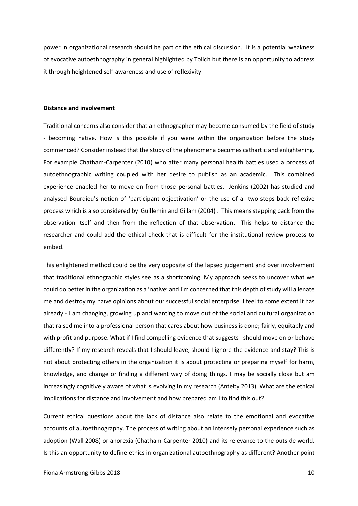power in organizational research should be part of the ethical discussion. It is a potential weakness of evocative autoethnography in general highlighted by Tolich but there is an opportunity to address it through heightened self-awareness and use of reflexivity.

# **Distance and involvement**

Traditional concerns also consider that an ethnographer may become consumed by the field of study - becoming native. How is this possible if you were within the organization before the study commenced? Consider instead that the study of the phenomena becomes cathartic and enlightening. For example Chatham-Carpenter (2010) who after many personal health battles used a process of autoethnographic writing coupled with her desire to publish as an academic. This combined experience enabled her to move on from those personal battles. Jenkins (2002) has studied and analysed Bourdieu's notion of 'participant objectivation' or the use of a two-steps back reflexive process which is also considered by Guillemin and Gillam (2004) . This means stepping back from the observation itself and then from the reflection of that observation. This helps to distance the researcher and could add the ethical check that is difficult for the institutional review process to embed.

This enlightened method could be the very opposite of the lapsed judgement and over involvement that traditional ethnographic styles see as a shortcoming. My approach seeks to uncover what we could do better in the organization as a 'native' and I'm concerned that this depth of study will alienate me and destroy my naïve opinions about our successful social enterprise. I feel to some extent it has already - I am changing, growing up and wanting to move out of the social and cultural organization that raised me into a professional person that cares about how business is done; fairly, equitably and with profit and purpose. What if I find compelling evidence that suggests I should move on or behave differently? If my research reveals that I should leave, should I ignore the evidence and stay? This is not about protecting others in the organization it is about protecting or preparing myself for harm, knowledge, and change or finding a different way of doing things. I may be socially close but am increasingly cognitively aware of what is evolving in my research (Anteby 2013). What are the ethical implications for distance and involvement and how prepared am I to find this out?

Current ethical questions about the lack of distance also relate to the emotional and evocative accounts of autoethnography. The process of writing about an intensely personal experience such as adoption (Wall 2008) or anorexia (Chatham-Carpenter 2010) and its relevance to the outside world. Is this an opportunity to define ethics in organizational autoethnography as different? Another point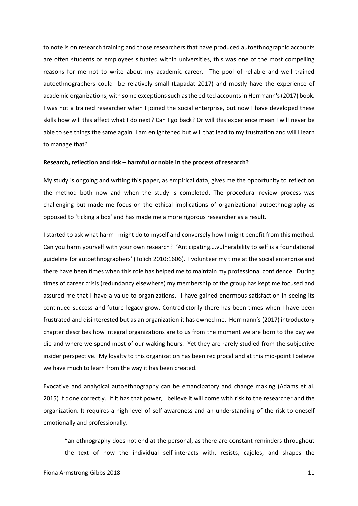to note is on research training and those researchers that have produced autoethnographic accounts are often students or employees situated within universities, this was one of the most compelling reasons for me not to write about my academic career. The pool of reliable and well trained autoethnographers could be relatively small (Lapadat 2017) and mostly have the experience of academic organizations, with some exceptions such as the edited accounts in Herrmann's (2017) book. I was not a trained researcher when I joined the social enterprise, but now I have developed these skills how will this affect what I do next? Can I go back? Or will this experience mean I will never be able to see things the same again. I am enlightened but will that lead to my frustration and will I learn to manage that?

#### **Research, reflection and risk – harmful or noble in the process of research?**

My study is ongoing and writing this paper, as empirical data, gives me the opportunity to reflect on the method both now and when the study is completed. The procedural review process was challenging but made me focus on the ethical implications of organizational autoethnography as opposed to 'ticking a box' and has made me a more rigorous researcher as a result.

I started to ask what harm I might do to myself and conversely how I might benefit from this method. Can you harm yourself with your own research? 'Anticipating….vulnerability to self is a foundational guideline for autoethnographers' (Tolich 2010:1606). I volunteer my time at the social enterprise and there have been times when this role has helped me to maintain my professional confidence. During times of career crisis (redundancy elsewhere) my membership of the group has kept me focused and assured me that I have a value to organizations. I have gained enormous satisfaction in seeing its continued success and future legacy grow. Contradictorily there has been times when I have been frustrated and disinterested but as an organization it has owned me. Herrmann's (2017) introductory chapter describes how integral organizations are to us from the moment we are born to the day we die and where we spend most of our waking hours. Yet they are rarely studied from the subjective insider perspective. My loyalty to this organization has been reciprocal and at this mid-point I believe we have much to learn from the way it has been created.

Evocative and analytical autoethnography can be emancipatory and change making (Adams et al. 2015) if done correctly. If it has that power, I believe it will come with risk to the researcher and the organization. It requires a high level of self-awareness and an understanding of the risk to oneself emotionally and professionally.

"an ethnography does not end at the personal, as there are constant reminders throughout the text of how the individual self-interacts with, resists, cajoles, and shapes the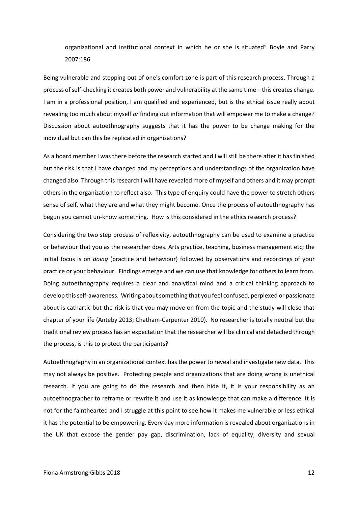organizational and institutional context in which he or she is situated" Boyle and Parry 2007:186

Being vulnerable and stepping out of one's comfort zone is part of this research process. Through a process of self-checking it creates both power and vulnerability at the same time – this creates change. I am in a professional position, I am qualified and experienced, but is the ethical issue really about revealing too much about myself *or* finding out information that will empower me to make a change? Discussion about autoethnography suggests that it has the power to be change making for the individual but can this be replicated in organizations?

As a board member I was there before the research started and I will still be there after it has finished but the risk is that I have changed and my perceptions and understandings of the organization have changed also. Through this research I will have revealed more of myself and others and it may prompt others in the organization to reflect also. This type of enquiry could have the power to stretch others sense of self, what they are and what they might become. Once the process of autoethnography has begun you cannot un-know something. How is this considered in the ethics research process?

Considering the two step process of reflexivity, autoethnography can be used to examine a practice or behaviour that you as the researcher does. Arts practice, teaching, business management etc; the initial focus is on *doing* (practice and behaviour) followed by observations and recordings of your practice or your behaviour. Findings emerge and we can use that knowledge for others to learn from. Doing autoethnography requires a clear and analytical mind and a critical thinking approach to develop this self-awareness. Writing about something that you feel confused, perplexed or passionate about is cathartic but the risk is that you may move on from the topic and the study will close that chapter of your life (Anteby 2013; Chatham-Carpenter 2010). No researcher is totally neutral but the traditional review process has an expectation that the researcher will be clinical and detached through the process, is this to protect the participants?

Autoethnography in an organizational context has the power to reveal and investigate new data. This may not always be positive. Protecting people and organizations that are doing wrong is unethical research. If you are going to do the research and then hide it, it is your responsibility as an autoethnographer to reframe or rewrite it and use it as knowledge that can make a difference. It is not for the fainthearted and I struggle at this point to see how it makes me vulnerable or less ethical it has the potential to be empowering. Every day more information is revealed about organizations in the UK that expose the gender pay gap, discrimination, lack of equality, diversity and sexual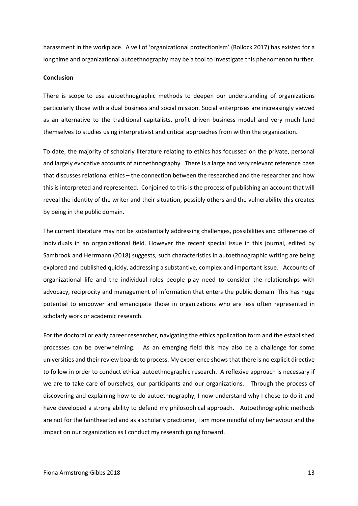harassment in the workplace. A veil of 'organizational protectionism' (Rollock 2017) has existed for a long time and organizational autoethnography may be a tool to investigate this phenomenon further.

#### **Conclusion**

There is scope to use autoethnographic methods to deepen our understanding of organizations particularly those with a dual business and social mission. Social enterprises are increasingly viewed as an alternative to the traditional capitalists, profit driven business model and very much lend themselves to studies using interpretivist and critical approaches from within the organization.

To date, the majority of scholarly literature relating to ethics has focussed on the private, personal and largely evocative accounts of autoethnography. There is a large and very relevant reference base that discusses relational ethics – the connection between the researched and the researcher and how this is interpreted and represented. Conjoined to this is the process of publishing an account that will reveal the identity of the writer and their situation, possibly others and the vulnerability this creates by being in the public domain.

The current literature may not be substantially addressing challenges, possibilities and differences of individuals in an organizational field. However the recent special issue in this journal, edited by Sambrook and Herrmann (2018) suggests, such characteristics in autoethnographic writing are being explored and published quickly, addressing a substantive, complex and important issue. Accounts of organizational life and the individual roles people play need to consider the relationships with advocacy, reciprocity and management of information that enters the public domain. This has huge potential to empower and emancipate those in organizations who are less often represented in scholarly work or academic research.

For the doctoral or early career researcher, navigating the ethics application form and the established processes can be overwhelming. As an emerging field this may also be a challenge for some universities and their review boards to process. My experience shows that there is no explicit directive to follow in order to conduct ethical autoethnographic research. A reflexive approach is necessary if we are to take care of ourselves, our participants and our organizations. Through the process of discovering and explaining how to do autoethnography, I now understand why I chose to do it and have developed a strong ability to defend my philosophical approach. Autoethnographic methods are not for the fainthearted and as a scholarly practioner, I am more mindful of my behaviour and the impact on our organization as I conduct my research going forward.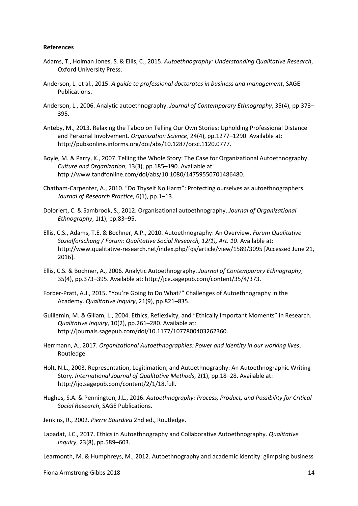# **References**

- Adams, T., Holman Jones, S. & Ellis, C., 2015. *Autoethnography: Understanding Qualitative Research*, Oxford University Press.
- Anderson, L. et al., 2015. *A guide to professional doctorates in business and management*, SAGE Publications.
- Anderson, L., 2006. Analytic autoethnography. *Journal of Contemporary Ethnography*, 35(4), pp.373– 395.
- Anteby, M., 2013. Relaxing the Taboo on Telling Our Own Stories: Upholding Professional Distance and Personal Involvement. *Organization Science*, 24(4), pp.1277–1290. Available at: http://pubsonline.informs.org/doi/abs/10.1287/orsc.1120.0777.
- Boyle, M. & Parry, K., 2007. Telling the Whole Story: The Case for Organizational Autoethnography. *Culture and Organization*, 13(3), pp.185–190. Available at: http://www.tandfonline.com/doi/abs/10.1080/14759550701486480.
- Chatham-Carpenter, A., 2010. "Do Thyself No Harm": Protecting ourselves as autoethnographers. *Journal of Research Practice*, 6(1), pp.1–13.
- Doloriert, C. & Sambrook, S., 2012. Organisational autoethnography. *Journal of Organizational Ethnography*, 1(1), pp.83–95.
- Ellis, C.S., Adams, T.E. & Bochner, A.P., 2010. Autoethnography: An Overview. *Forum Qualitative Sozialforschung / Forum: Qualitative Social Research, 12(1), Art. 10*. Available at: http://www.qualitative-research.net/index.php/fqs/article/view/1589/3095 [Accessed June 21, 2016].
- Ellis, C.S. & Bochner, A., 2006. Analytic Autoethnography. *Journal of Contemporary Ethnography*, 35(4), pp.373–395. Available at: http://jce.sagepub.com/content/35/4/373.
- Forber-Pratt, A.J., 2015. "You're Going to Do What?" Challenges of Autoethnography in the Academy. *Qualitative Inquiry*, 21(9), pp.821–835.
- Guillemin, M. & Gillam, L., 2004. Ethics, Reflexivity, and "Ethically Important Moments" in Research. *Qualitative Inquiry*, 10(2), pp.261–280. Available at: http://journals.sagepub.com/doi/10.1177/1077800403262360.
- Herrmann, A., 2017. *Organizational Autoethnographies: Power and Identity in our working lives*, Routledge.
- Holt, N.L., 2003. Representation, Legitimation, and Autoethnography: An Autoethnographic Writing Story. *International Journal of Qualitative Methods*, 2(1), pp.18–28. Available at: http://ijq.sagepub.com/content/2/1/18.full.
- Hughes, S.A. & Pennington, J.L., 2016. *Autoethnography: Process, Product, and Possibility for Critical Social Research*, SAGE Publications.
- Jenkins, R., 2002. *Pierre Bourdieu* 2nd ed., Routledge.
- Lapadat, J.C., 2017. Ethics in Autoethnography and Collaborative Autoethnography. *Qualitative Inquiry*, 23(8), pp.589–603.

Learmonth, M. & Humphreys, M., 2012. Autoethnography and academic identity: glimpsing business